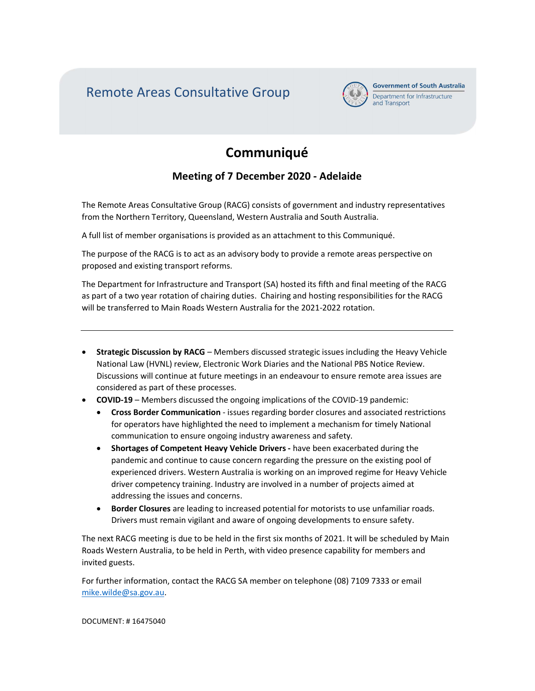Remote Areas Consultative Group



**Government of South Australia** Department for Infrastructure and Transport

# **Communiqué**

## Meeting of 7 December 2020 - Adelaide

The Remote Areas Consultative Group (RACG) consists of government and industry representatives from the Northern Territory, Queensland, Western Australia and South Australia.

A full list of member organisations is provided as an attachment to this Communiqué.

The purpose of the RACG is to act as an advisory body to provide a remote areas perspective on proposed and existing transport reforms.

The Department for Infrastructure and Transport (SA) hosted its fifth and final meeting of the RACG as part of a two year rotation of chairing duties. Chairing and hosting responsibilities for the RACG will be transferred to Main Roads Western Australia for the 2021-2022 rotation.

- Strategic Discussion by RACG Members discussed strategic issues including the Heavy Vehicle National Law (HVNL) review, Electronic Work Diaries and the National PBS Notice Review. Discussions will continue at future meetings in an endeavour to ensure remote area issues are considered as part of these processes.
- COVID-19 Members discussed the ongoing implications of the COVID-19 pandemic:
	- Cross Border Communication issues regarding border closures and associated restrictions for operators have highlighted the need to implement a mechanism for timely National communication to ensure ongoing industry awareness and safety.
	- Shortages of Competent Heavy Vehicle Drivers have been exacerbated during the pandemic and continue to cause concern regarding the pressure on the existing pool of experienced drivers. Western Australia is working on an improved regime for Heavy Vehicle driver competency training. Industry are involved in a number of projects aimed at addressing the issues and concerns.
	- **Border Closures** are leading to increased potential for motorists to use unfamiliar roads. Drivers must remain vigilant and aware of ongoing developments to ensure safety.

The next RACG meeting is due to be held in the first six months of 2021. It will be scheduled by Main Roads Western Australia, to be held in Perth, with video presence capability for members and invited guests.

For further information, contact the RACG SA member on telephone (08) 7109 7333 or email mike.wilde@sa.gov.au.

DOCUMENT: # 16475040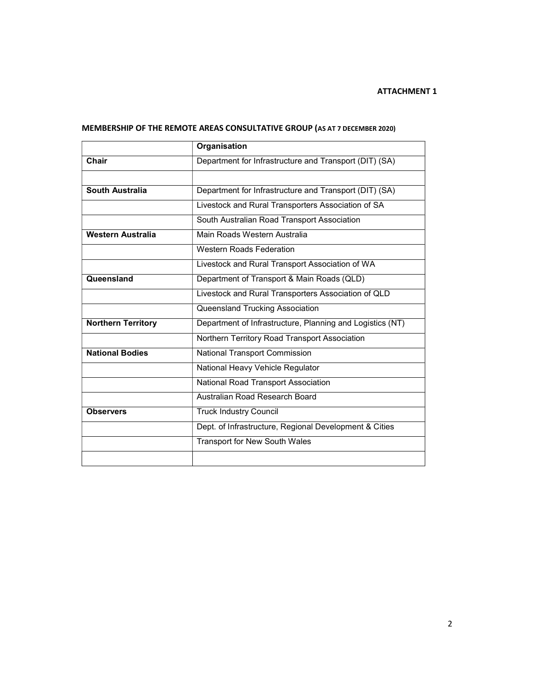### ATTACHMENT 1

|                           | Organisation                                              |  |  |
|---------------------------|-----------------------------------------------------------|--|--|
| Chair                     | Department for Infrastructure and Transport (DIT) (SA)    |  |  |
|                           |                                                           |  |  |
| South Australia           | Department for Infrastructure and Transport (DIT) (SA)    |  |  |
|                           | Livestock and Rural Transporters Association of SA        |  |  |
|                           | South Australian Road Transport Association               |  |  |
| <b>Western Australia</b>  | Main Roads Western Australia                              |  |  |
|                           | <b>Western Roads Federation</b>                           |  |  |
|                           | Livestock and Rural Transport Association of WA           |  |  |
| Queensland                | Department of Transport & Main Roads (QLD)                |  |  |
|                           | Livestock and Rural Transporters Association of QLD       |  |  |
|                           | Queensland Trucking Association                           |  |  |
| <b>Northern Territory</b> | Department of Infrastructure, Planning and Logistics (NT) |  |  |
|                           | Northern Territory Road Transport Association             |  |  |
| <b>National Bodies</b>    | National Transport Commission                             |  |  |
|                           | National Heavy Vehicle Regulator                          |  |  |
|                           | National Road Transport Association                       |  |  |
|                           | Australian Road Research Board                            |  |  |
| <b>Observers</b>          | <b>Truck Industry Council</b>                             |  |  |
|                           | Dept. of Infrastructure, Regional Development & Cities    |  |  |
|                           | <b>Transport for New South Wales</b>                      |  |  |
|                           |                                                           |  |  |

## MEMBERSHIP OF THE REMOTE AREAS CONSULTATIVE GROUP (AS AT 7 DECEMBER 2020)